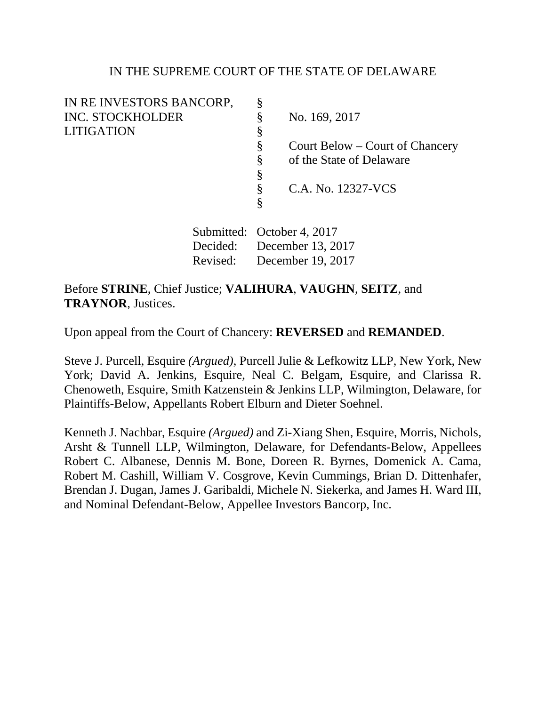## IN THE SUPREME COURT OF THE STATE OF DELAWARE

| IN RE INVESTORS BANCORP,                                 |   |                                 |
|----------------------------------------------------------|---|---------------------------------|
| <b>INC. STOCKHOLDER</b>                                  |   | No. 169, 2017                   |
| <b>LITIGATION</b>                                        | Š |                                 |
|                                                          | Š | Court Below – Court of Chancery |
|                                                          | ş | of the State of Delaware        |
|                                                          | Ş |                                 |
|                                                          | 8 | C.A. No. 12327-VCS              |
|                                                          | Ş |                                 |
| $\mathsf{Submitted} \cdot \mathsf{October} \land \gamma$ |   |                                 |

 Submitted: October 4, 2017 Decided: December 13, 2017 Revised: December 19, 2017

# Before **STRINE**, Chief Justice; **VALIHURA**, **VAUGHN**, **SEITZ**, and **TRAYNOR**, Justices.

Upon appeal from the Court of Chancery: **REVERSED** and **REMANDED**.

Steve J. Purcell, Esquire *(Argued)*, Purcell Julie & Lefkowitz LLP, New York, New York; David A. Jenkins, Esquire, Neal C. Belgam, Esquire, and Clarissa R. Chenoweth, Esquire, Smith Katzenstein & Jenkins LLP, Wilmington, Delaware, for Plaintiffs-Below, Appellants Robert Elburn and Dieter Soehnel.

Kenneth J. Nachbar, Esquire *(Argued)* and Zi-Xiang Shen, Esquire, Morris, Nichols, Arsht & Tunnell LLP, Wilmington, Delaware, for Defendants-Below, Appellees Robert C. Albanese, Dennis M. Bone, Doreen R. Byrnes, Domenick A. Cama, Robert M. Cashill, William V. Cosgrove, Kevin Cummings, Brian D. Dittenhafer, Brendan J. Dugan, James J. Garibaldi, Michele N. Siekerka, and James H. Ward III, and Nominal Defendant-Below, Appellee Investors Bancorp, Inc.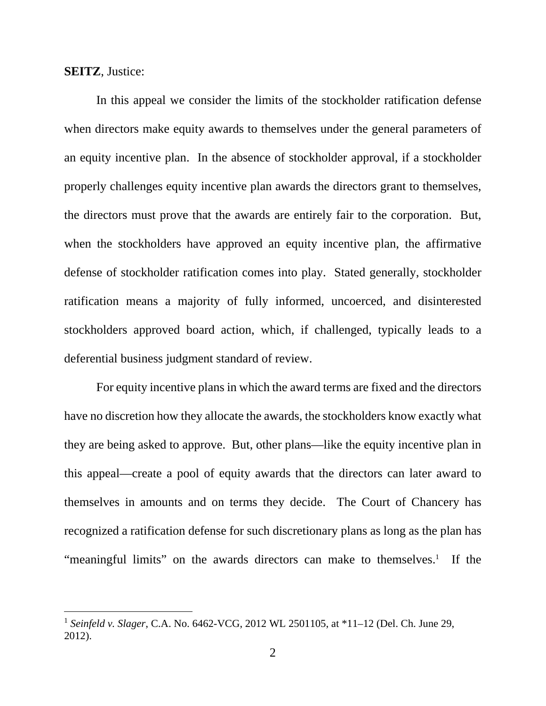#### **SEITZ**, Justice:

l

 In this appeal we consider the limits of the stockholder ratification defense when directors make equity awards to themselves under the general parameters of an equity incentive plan. In the absence of stockholder approval, if a stockholder properly challenges equity incentive plan awards the directors grant to themselves, the directors must prove that the awards are entirely fair to the corporation. But, when the stockholders have approved an equity incentive plan, the affirmative defense of stockholder ratification comes into play. Stated generally, stockholder ratification means a majority of fully informed, uncoerced, and disinterested stockholders approved board action, which, if challenged, typically leads to a deferential business judgment standard of review.

For equity incentive plans in which the award terms are fixed and the directors have no discretion how they allocate the awards, the stockholders know exactly what they are being asked to approve. But, other plans—like the equity incentive plan in this appeal—create a pool of equity awards that the directors can later award to themselves in amounts and on terms they decide. The Court of Chancery has recognized a ratification defense for such discretionary plans as long as the plan has "meaningful limits" on the awards directors can make to themselves.<sup>1</sup> If the

<sup>1</sup> *Seinfeld v. Slager*, C.A. No. 6462-VCG, 2012 WL 2501105, at \*11–12 (Del. Ch. June 29, 2012).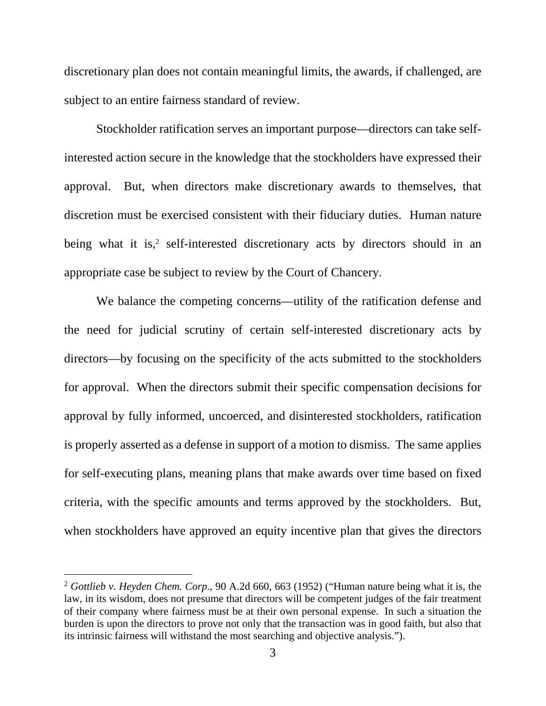discretionary plan does not contain meaningful limits, the awards, if challenged, are subject to an entire fairness standard of review.

Stockholder ratification serves an important purpose—directors can take selfinterested action secure in the knowledge that the stockholders have expressed their approval. But, when directors make discretionary awards to themselves, that discretion must be exercised consistent with their fiduciary duties. Human nature being what it is,<sup>2</sup> self-interested discretionary acts by directors should in an appropriate case be subject to review by the Court of Chancery.

We balance the competing concerns—utility of the ratification defense and the need for judicial scrutiny of certain self-interested discretionary acts by directors—by focusing on the specificity of the acts submitted to the stockholders for approval. When the directors submit their specific compensation decisions for approval by fully informed, uncoerced, and disinterested stockholders, ratification is properly asserted as a defense in support of a motion to dismiss. The same applies for self-executing plans, meaning plans that make awards over time based on fixed criteria, with the specific amounts and terms approved by the stockholders. But, when stockholders have approved an equity incentive plan that gives the directors

<sup>2</sup> *Gottlieb v. Heyden Chem. Corp*., 90 A.2d 660, 663 (1952) ("Human nature being what it is, the law, in its wisdom, does not presume that directors will be competent judges of the fair treatment of their company where fairness must be at their own personal expense. In such a situation the burden is upon the directors to prove not only that the transaction was in good faith, but also that its intrinsic fairness will withstand the most searching and objective analysis.").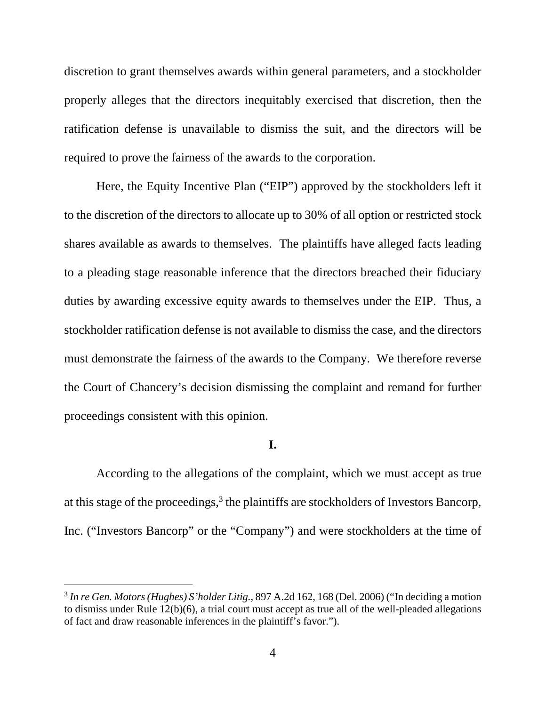discretion to grant themselves awards within general parameters, and a stockholder properly alleges that the directors inequitably exercised that discretion, then the ratification defense is unavailable to dismiss the suit, and the directors will be required to prove the fairness of the awards to the corporation.

Here, the Equity Incentive Plan ("EIP") approved by the stockholders left it to the discretion of the directors to allocate up to 30% of all option or restricted stock shares available as awards to themselves. The plaintiffs have alleged facts leading to a pleading stage reasonable inference that the directors breached their fiduciary duties by awarding excessive equity awards to themselves under the EIP. Thus, a stockholder ratification defense is not available to dismiss the case, and the directors must demonstrate the fairness of the awards to the Company. We therefore reverse the Court of Chancery's decision dismissing the complaint and remand for further proceedings consistent with this opinion.

## **I.**

 According to the allegations of the complaint, which we must accept as true at this stage of the proceedings,<sup>3</sup> the plaintiffs are stockholders of Investors Bancorp, Inc. ("Investors Bancorp" or the "Company") and were stockholders at the time of

<sup>3</sup> *In re Gen. Motors (Hughes) S'holder Litig.*, 897 A.2d 162, 168 (Del. 2006) ("In deciding a motion to dismiss under Rule 12(b)(6), a trial court must accept as true all of the well-pleaded allegations of fact and draw reasonable inferences in the plaintiff's favor.").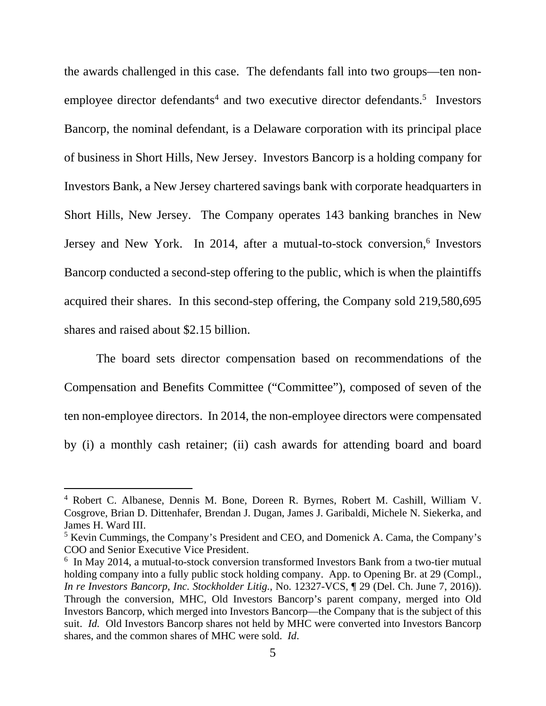the awards challenged in this case. The defendants fall into two groups—ten nonemployee director defendants<sup>4</sup> and two executive director defendants.<sup>5</sup> Investors Bancorp, the nominal defendant, is a Delaware corporation with its principal place of business in Short Hills, New Jersey. Investors Bancorp is a holding company for Investors Bank, a New Jersey chartered savings bank with corporate headquarters in Short Hills, New Jersey. The Company operates 143 banking branches in New Jersey and New York. In 2014, after a mutual-to-stock conversion,<sup>6</sup> Investors Bancorp conducted a second-step offering to the public, which is when the plaintiffs acquired their shares. In this second-step offering, the Company sold 219,580,695 shares and raised about \$2.15 billion.

 The board sets director compensation based on recommendations of the Compensation and Benefits Committee ("Committee"), composed of seven of the ten non-employee directors. In 2014, the non-employee directors were compensated by (i) a monthly cash retainer; (ii) cash awards for attending board and board

l

<sup>4</sup> Robert C. Albanese, Dennis M. Bone, Doreen R. Byrnes, Robert M. Cashill, William V. Cosgrove, Brian D. Dittenhafer, Brendan J. Dugan, James J. Garibaldi, Michele N. Siekerka, and James H. Ward III.

<sup>&</sup>lt;sup>5</sup> Kevin Cummings, the Company's President and CEO, and Domenick A. Cama, the Company's COO and Senior Executive Vice President.

<sup>&</sup>lt;sup>6</sup> In May 2014, a mutual-to-stock conversion transformed Investors Bank from a two-tier mutual holding company into a fully public stock holding company. App. to Opening Br. at 29 (Compl., *In re Investors Bancorp, Inc. Stockholder Litig.*, No. 12327-VCS, ¶ 29 (Del. Ch. June 7, 2016)). Through the conversion, MHC, Old Investors Bancorp's parent company, merged into Old Investors Bancorp, which merged into Investors Bancorp—the Company that is the subject of this suit. *Id.* Old Investors Bancorp shares not held by MHC were converted into Investors Bancorp shares, and the common shares of MHC were sold. *Id*.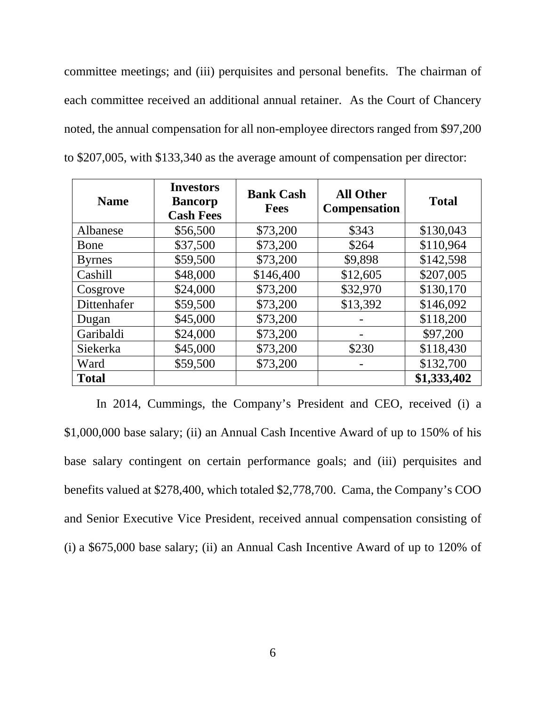committee meetings; and (iii) perquisites and personal benefits. The chairman of each committee received an additional annual retainer. As the Court of Chancery noted, the annual compensation for all non-employee directors ranged from \$97,200 to \$207,005, with \$133,340 as the average amount of compensation per director:

| <b>Name</b>   | <b>Investors</b><br><b>Bancorp</b><br><b>Cash Fees</b> | <b>Bank Cash</b><br><b>Fees</b> | <b>All Other</b><br><b>Compensation</b> | <b>Total</b> |
|---------------|--------------------------------------------------------|---------------------------------|-----------------------------------------|--------------|
| Albanese      | \$56,500                                               | \$73,200                        | \$343                                   | \$130,043    |
| Bone          | \$37,500                                               | \$73,200                        | \$264                                   | \$110,964    |
| <b>Byrnes</b> | \$59,500                                               | \$73,200                        | \$9,898                                 | \$142,598    |
| Cashill       | \$48,000                                               | \$146,400                       | \$12,605                                | \$207,005    |
| Cosgrove      | \$24,000                                               | \$73,200                        | \$32,970                                | \$130,170    |
| Dittenhafer   | \$59,500                                               | \$73,200                        | \$13,392                                | \$146,092    |
| Dugan         | \$45,000                                               | \$73,200                        |                                         | \$118,200    |
| Garibaldi     | \$24,000                                               | \$73,200                        |                                         | \$97,200     |
| Siekerka      | \$45,000                                               | \$73,200                        | \$230                                   | \$118,430    |
| Ward          | \$59,500                                               | \$73,200                        |                                         | \$132,700    |
| <b>Total</b>  |                                                        |                                 |                                         | \$1,333,402  |

In 2014, Cummings, the Company's President and CEO, received (i) a \$1,000,000 base salary; (ii) an Annual Cash Incentive Award of up to 150% of his base salary contingent on certain performance goals; and (iii) perquisites and benefits valued at \$278,400, which totaled \$2,778,700. Cama, the Company's COO and Senior Executive Vice President, received annual compensation consisting of (i) a \$675,000 base salary; (ii) an Annual Cash Incentive Award of up to 120% of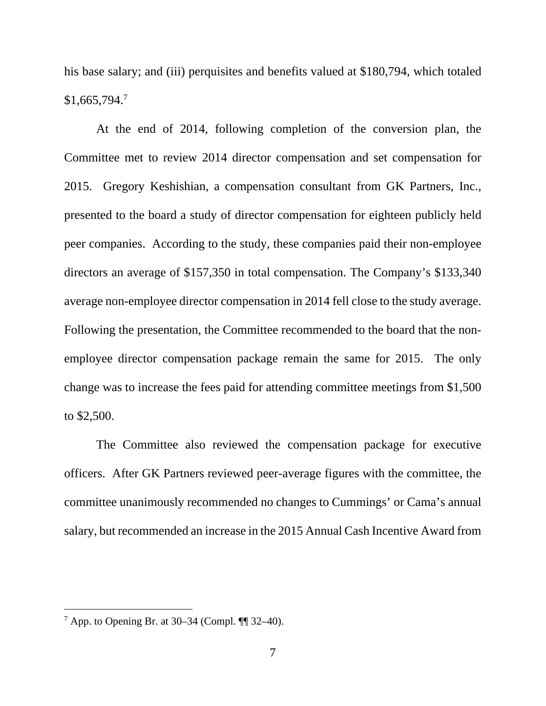his base salary; and (iii) perquisites and benefits valued at \$180,794, which totaled  $$1,665,794.7$ 

 At the end of 2014, following completion of the conversion plan, the Committee met to review 2014 director compensation and set compensation for 2015. Gregory Keshishian, a compensation consultant from GK Partners, Inc., presented to the board a study of director compensation for eighteen publicly held peer companies. According to the study, these companies paid their non-employee directors an average of \$157,350 in total compensation. The Company's \$133,340 average non-employee director compensation in 2014 fell close to the study average. Following the presentation, the Committee recommended to the board that the nonemployee director compensation package remain the same for 2015. The only change was to increase the fees paid for attending committee meetings from \$1,500 to \$2,500.

 The Committee also reviewed the compensation package for executive officers. After GK Partners reviewed peer-average figures with the committee, the committee unanimously recommended no changes to Cummings' or Cama's annual salary, but recommended an increase in the 2015 Annual Cash Incentive Award from

 $^7$  App. to Opening Br. at 30–34 (Compl.  $\P\P$  32–40).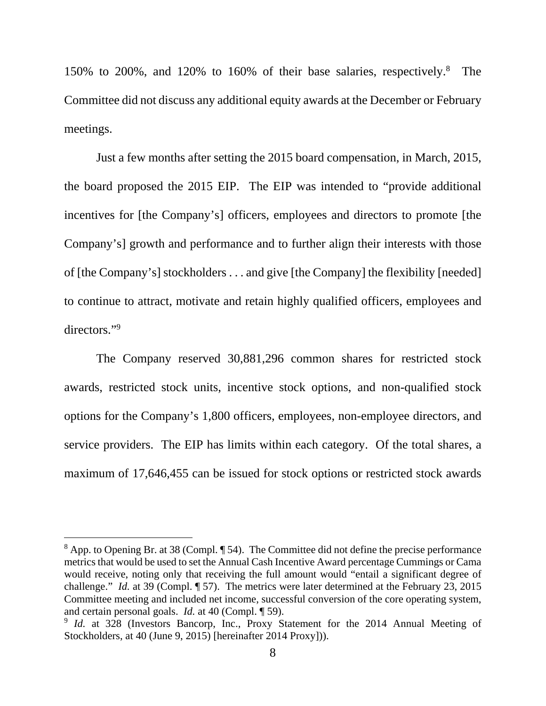150% to 200%, and 120% to 160% of their base salaries, respectively.8 The Committee did not discuss any additional equity awards at the December or February meetings.

 Just a few months after setting the 2015 board compensation, in March, 2015, the board proposed the 2015 EIP. The EIP was intended to "provide additional incentives for [the Company's] officers, employees and directors to promote [the Company's] growth and performance and to further align their interests with those of [the Company's] stockholders . . . and give [the Company] the flexibility [needed] to continue to attract, motivate and retain highly qualified officers, employees and directors."<sup>9</sup>

 The Company reserved 30,881,296 common shares for restricted stock awards, restricted stock units, incentive stock options, and non-qualified stock options for the Company's 1,800 officers, employees, non-employee directors, and service providers. The EIP has limits within each category. Of the total shares, a maximum of 17,646,455 can be issued for stock options or restricted stock awards

 $8$  App. to Opening Br. at 38 (Compl.  $\P$  54). The Committee did not define the precise performance metrics that would be used to set the Annual Cash Incentive Award percentage Cummings or Cama would receive, noting only that receiving the full amount would "entail a significant degree of challenge." *Id.* at 39 (Compl. ¶ 57). The metrics were later determined at the February 23, 2015 Committee meeting and included net income, successful conversion of the core operating system, and certain personal goals. *Id.* at 40 (Compl. ¶ 59).

<sup>&</sup>lt;sup>9</sup> *Id.* at 328 (Investors Bancorp, Inc., Proxy Statement for the 2014 Annual Meeting of Stockholders, at 40 (June 9, 2015) [hereinafter 2014 Proxy])).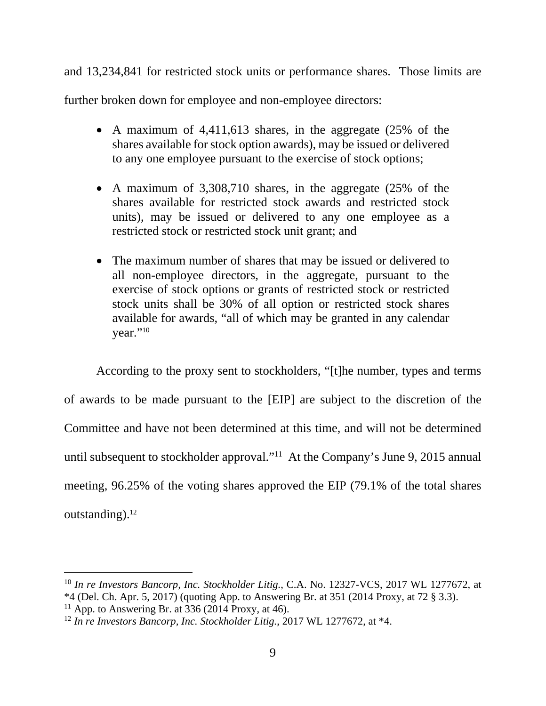and 13,234,841 for restricted stock units or performance shares. Those limits are

further broken down for employee and non-employee directors:

- A maximum of 4,411,613 shares, in the aggregate (25% of the shares available for stock option awards), may be issued or delivered to any one employee pursuant to the exercise of stock options;
- A maximum of 3,308,710 shares, in the aggregate (25% of the shares available for restricted stock awards and restricted stock units), may be issued or delivered to any one employee as a restricted stock or restricted stock unit grant; and
- The maximum number of shares that may be issued or delivered to all non-employee directors, in the aggregate, pursuant to the exercise of stock options or grants of restricted stock or restricted stock units shall be 30% of all option or restricted stock shares available for awards, "all of which may be granted in any calendar vear."<sup>10</sup>

 According to the proxy sent to stockholders, "[t]he number, types and terms of awards to be made pursuant to the [EIP] are subject to the discretion of the Committee and have not been determined at this time, and will not be determined until subsequent to stockholder approval."<sup>11</sup> At the Company's June 9, 2015 annual meeting, 96.25% of the voting shares approved the EIP (79.1% of the total shares outstanding). $12$ 

<sup>10</sup> *In re Investors Bancorp, Inc. Stockholder Litig.*, C.A. No. 12327-VCS, 2017 WL 1277672, at \*4 (Del. Ch. Apr. 5, 2017) (quoting App. to Answering Br. at 351 (2014 Proxy, at 72 § 3.3).

<sup>&</sup>lt;sup>11</sup> App. to Answering Br. at  $336$  (2014 Proxy, at 46).

<sup>12</sup> *In re Investors Bancorp, Inc. Stockholder Litig.*, 2017 WL 1277672, at \*4.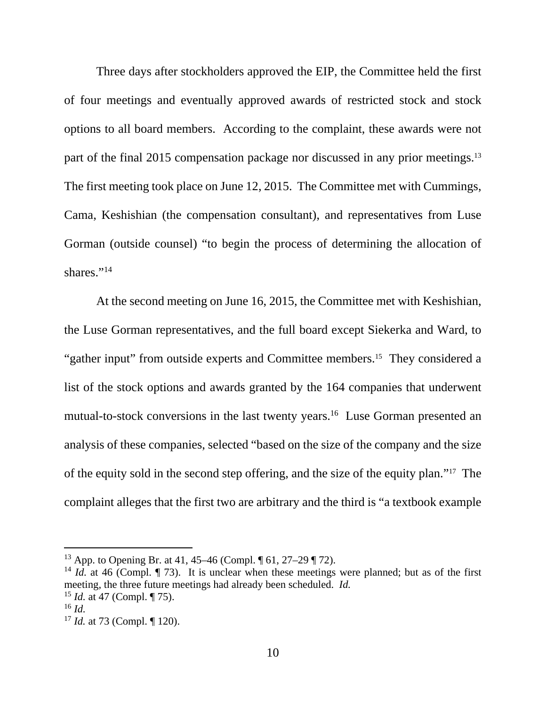Three days after stockholders approved the EIP, the Committee held the first of four meetings and eventually approved awards of restricted stock and stock options to all board members. According to the complaint, these awards were not part of the final 2015 compensation package nor discussed in any prior meetings.<sup>13</sup> The first meeting took place on June 12, 2015. The Committee met with Cummings, Cama, Keshishian (the compensation consultant), and representatives from Luse Gorman (outside counsel) "to begin the process of determining the allocation of shares."<sup>14</sup>

At the second meeting on June 16, 2015, the Committee met with Keshishian, the Luse Gorman representatives, and the full board except Siekerka and Ward, to "gather input" from outside experts and Committee members.<sup>15</sup> They considered a list of the stock options and awards granted by the 164 companies that underwent mutual-to-stock conversions in the last twenty years.<sup>16</sup> Luse Gorman presented an analysis of these companies, selected "based on the size of the company and the size of the equity sold in the second step offering, and the size of the equity plan."17 The complaint alleges that the first two are arbitrary and the third is "a textbook example

<sup>13</sup> App. to Opening Br. at 41, 45–46 (Compl. ¶ 61, 27–29 ¶ 72).

<sup>&</sup>lt;sup>14</sup> *Id.* at 46 (Compl.  $\llbracket$  73). It is unclear when these meetings were planned; but as of the first meeting, the three future meetings had already been scheduled. *Id.* 

<sup>&</sup>lt;sup>15</sup> *Id.* at 47 (Compl. ¶ 75).<br><sup>16</sup> *Id.* 

<sup>&</sup>lt;sup>17</sup> *Id.* at 73 (Compl. ¶ 120).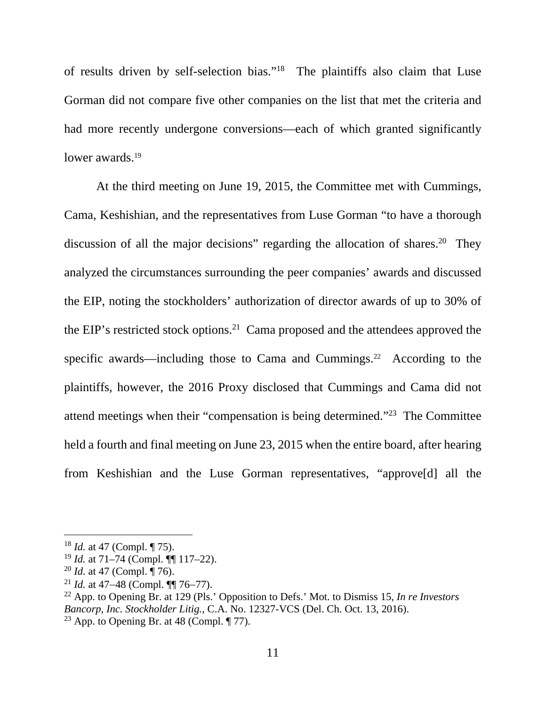of results driven by self-selection bias."18 The plaintiffs also claim that Luse Gorman did not compare five other companies on the list that met the criteria and had more recently undergone conversions—each of which granted significantly lower awards.<sup>19</sup>

At the third meeting on June 19, 2015, the Committee met with Cummings, Cama, Keshishian, and the representatives from Luse Gorman "to have a thorough discussion of all the major decisions" regarding the allocation of shares.<sup>20</sup> They analyzed the circumstances surrounding the peer companies' awards and discussed the EIP, noting the stockholders' authorization of director awards of up to 30% of the EIP's restricted stock options.<sup>21</sup> Cama proposed and the attendees approved the specific awards—including those to Cama and Cummings.<sup>22</sup> According to the plaintiffs, however, the 2016 Proxy disclosed that Cummings and Cama did not attend meetings when their "compensation is being determined."23 The Committee held a fourth and final meeting on June 23, 2015 when the entire board, after hearing from Keshishian and the Luse Gorman representatives, "approve[d] all the

<sup>18</sup> *Id.* at 47 (Compl. ¶ 75).

<sup>19</sup> *Id.* at 71–74 (Compl. ¶¶ 117–22).

<sup>20</sup> *Id.* at 47 (Compl. ¶ 76).

<sup>&</sup>lt;sup>21</sup> *Id.* at 47–48 (Compl. ¶¶ 76–77).

<sup>22</sup> App. to Opening Br. at 129 (Pls.' Opposition to Defs.' Mot. to Dismiss 15, *In re Investors Bancorp, Inc. Stockholder Litig.*, C.A. No. 12327-VCS (Del. Ch. Oct. 13, 2016).

<sup>&</sup>lt;sup>23</sup> App. to Opening Br. at 48 (Compl.  $\P$  77).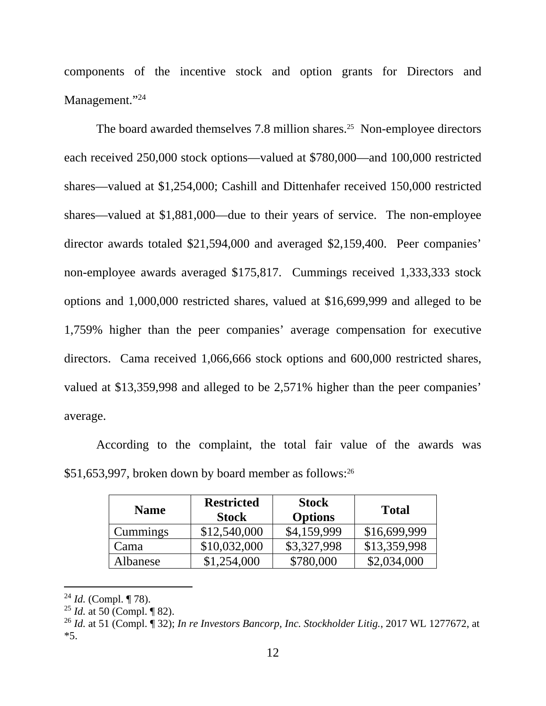components of the incentive stock and option grants for Directors and Management."24

The board awarded themselves 7.8 million shares.<sup>25</sup> Non-employee directors each received 250,000 stock options—valued at \$780,000—and 100,000 restricted shares—valued at \$1,254,000; Cashill and Dittenhafer received 150,000 restricted shares—valued at \$1,881,000—due to their years of service. The non-employee director awards totaled \$21,594,000 and averaged \$2,159,400. Peer companies' non-employee awards averaged \$175,817. Cummings received 1,333,333 stock options and 1,000,000 restricted shares, valued at \$16,699,999 and alleged to be 1,759% higher than the peer companies' average compensation for executive directors. Cama received 1,066,666 stock options and 600,000 restricted shares, valued at \$13,359,998 and alleged to be 2,571% higher than the peer companies' average.

 According to the complaint, the total fair value of the awards was  $$51,653,997$ , broken down by board member as follows:<sup>26</sup>

| <b>Name</b>     | <b>Restricted</b><br><b>Stock</b> | <b>Stock</b><br><b>Options</b> | <b>Total</b> |
|-----------------|-----------------------------------|--------------------------------|--------------|
| <b>Cummings</b> | \$12,540,000                      | \$4,159,999                    | \$16,699,999 |
| Cama            | \$10,032,000                      | \$3,327,998                    | \$13,359,998 |
| Albanese        | \$1,254,000                       | \$780,000                      | \$2,034,000  |

<sup>24</sup> *Id.* (Compl. ¶ 78).

<sup>25</sup> *Id.* at 50 (Compl. ¶ 82).

<sup>26</sup> *Id.* at 51 (Compl. ¶ 32); *In re Investors Bancorp, Inc. Stockholder Litig.*, 2017 WL 1277672, at \*5.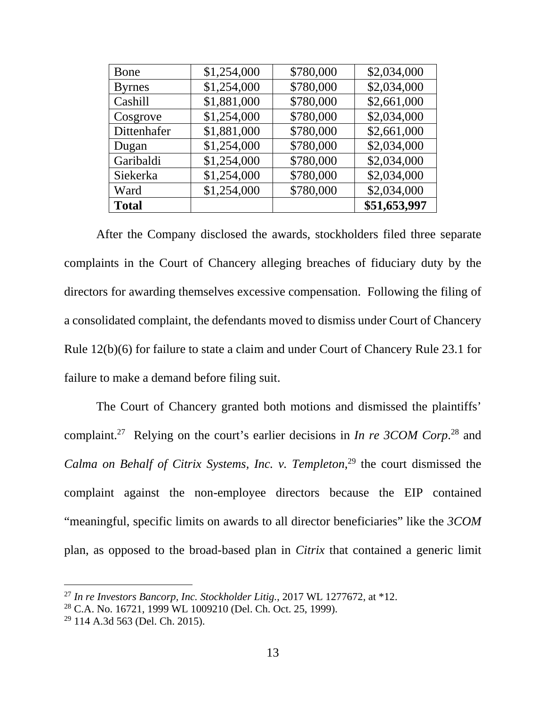| Bone          | \$1,254,000 | \$780,000 | \$2,034,000  |
|---------------|-------------|-----------|--------------|
| <b>Byrnes</b> | \$1,254,000 | \$780,000 | \$2,034,000  |
| Cashill       | \$1,881,000 | \$780,000 | \$2,661,000  |
| Cosgrove      | \$1,254,000 | \$780,000 | \$2,034,000  |
| Dittenhafer   | \$1,881,000 | \$780,000 | \$2,661,000  |
| Dugan         | \$1,254,000 | \$780,000 | \$2,034,000  |
| Garibaldi     | \$1,254,000 | \$780,000 | \$2,034,000  |
| Siekerka      | \$1,254,000 | \$780,000 | \$2,034,000  |
| Ward          | \$1,254,000 | \$780,000 | \$2,034,000  |
| <b>Total</b>  |             |           | \$51,653,997 |

 After the Company disclosed the awards, stockholders filed three separate complaints in the Court of Chancery alleging breaches of fiduciary duty by the directors for awarding themselves excessive compensation. Following the filing of a consolidated complaint, the defendants moved to dismiss under Court of Chancery Rule 12(b)(6) for failure to state a claim and under Court of Chancery Rule 23.1 for failure to make a demand before filing suit.

 The Court of Chancery granted both motions and dismissed the plaintiffs' complaint.27 Relying on the court's earlier decisions in *In re 3COM Corp*. 28 and *Calma on Behalf of Citrix Systems, Inc. v. Templeton*, 29 the court dismissed the complaint against the non-employee directors because the EIP contained "meaningful, specific limits on awards to all director beneficiaries" like the *3COM* plan, as opposed to the broad-based plan in *Citrix* that contained a generic limit

<sup>27</sup> *In re Investors Bancorp, Inc. Stockholder Litig.*, 2017 WL 1277672, at \*12.

<sup>28</sup> C.A. No. 16721, 1999 WL 1009210 (Del. Ch. Oct. 25, 1999).

 $29$  114 A.3d 563 (Del. Ch. 2015).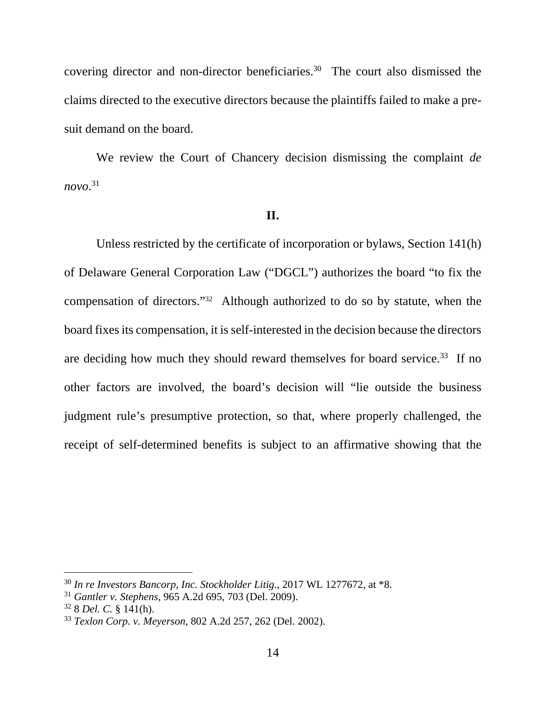covering director and non-director beneficiaries.30 The court also dismissed the claims directed to the executive directors because the plaintiffs failed to make a presuit demand on the board.

 We review the Court of Chancery decision dismissing the complaint *de novo*. 31

#### **II.**

Unless restricted by the certificate of incorporation or bylaws, Section 141(h) of Delaware General Corporation Law ("DGCL") authorizes the board "to fix the compensation of directors."32 Although authorized to do so by statute, when the board fixes its compensation, it is self-interested in the decision because the directors are deciding how much they should reward themselves for board service.<sup>33</sup> If no other factors are involved, the board's decision will "lie outside the business judgment rule's presumptive protection, so that, where properly challenged, the receipt of self-determined benefits is subject to an affirmative showing that the

<sup>30</sup> *In re Investors Bancorp, Inc. Stockholder Litig.*, 2017 WL 1277672, at \*8.

<sup>31</sup> *Gantler v. Stephens*, 965 A.2d 695, 703 (Del. 2009).

<sup>32 8</sup> *Del. C.* § 141(h).

<sup>33</sup> *Texlon Corp. v. Meyerson*, 802 A.2d 257, 262 (Del. 2002).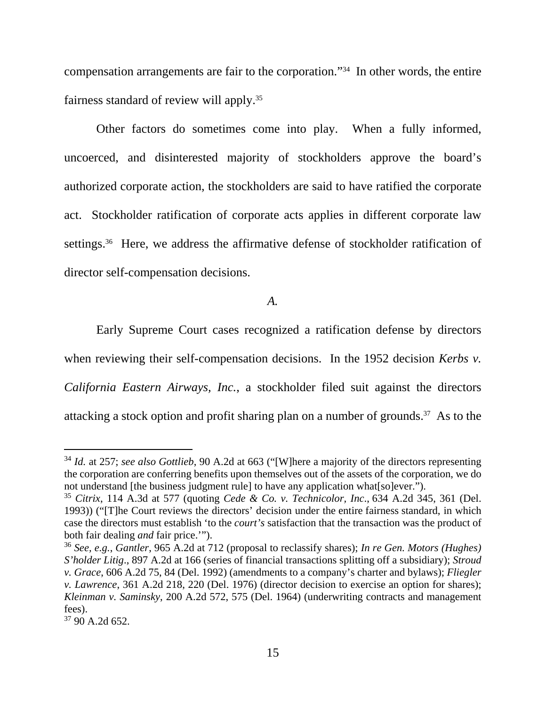compensation arrangements are fair to the corporation."34 In other words, the entire fairness standard of review will apply.35

Other factors do sometimes come into play. When a fully informed, uncoerced, and disinterested majority of stockholders approve the board's authorized corporate action, the stockholders are said to have ratified the corporate act. Stockholder ratification of corporate acts applies in different corporate law settings.<sup>36</sup> Here, we address the affirmative defense of stockholder ratification of director self-compensation decisions.

*A.*

Early Supreme Court cases recognized a ratification defense by directors when reviewing their self-compensation decisions. In the 1952 decision *Kerbs v*. *California Eastern Airways, Inc.*, a stockholder filed suit against the directors attacking a stock option and profit sharing plan on a number of grounds.37 As to the

<sup>34</sup> *Id.* at 257; *see also Gottlieb*, 90 A.2d at 663 ("[W]here a majority of the directors representing the corporation are conferring benefits upon themselves out of the assets of the corporation, we do not understand [the business judgment rule] to have any application what[so]ever.").

<sup>35</sup> *Citrix*, 114 A.3d at 577 (quoting *Cede & Co. v. Technicolor, Inc*., 634 A.2d 345, 361 (Del. 1993)) ("[T]he Court reviews the directors' decision under the entire fairness standard, in which case the directors must establish 'to the *court's* satisfaction that the transaction was the product of both fair dealing *and* fair price.'").

<sup>36</sup> *See, e.g.*, *Gantler*, 965 A.2d at 712 (proposal to reclassify shares); *In re Gen. Motors (Hughes) S'holder Litig*., 897 A.2d at 166 (series of financial transactions splitting off a subsidiary); *Stroud v. Grace*, 606 A.2d 75, 84 (Del. 1992) (amendments to a company's charter and bylaws); *Fliegler v. Lawrence*, 361 A.2d 218, 220 (Del. 1976) (director decision to exercise an option for shares); *Kleinman v. Saminsky*, 200 A.2d 572, 575 (Del. 1964) (underwriting contracts and management fees).

<sup>37 90</sup> A.2d 652.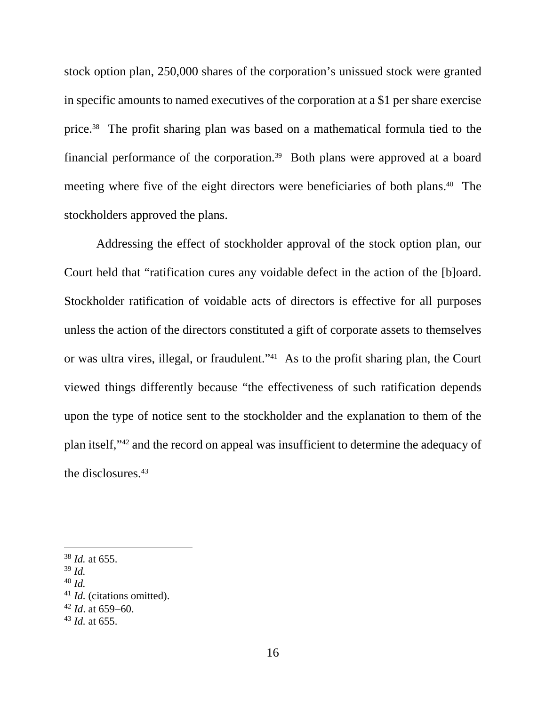stock option plan, 250,000 shares of the corporation's unissued stock were granted in specific amounts to named executives of the corporation at a \$1 per share exercise price.38 The profit sharing plan was based on a mathematical formula tied to the financial performance of the corporation.39 Both plans were approved at a board meeting where five of the eight directors were beneficiaries of both plans.40 The stockholders approved the plans.

Addressing the effect of stockholder approval of the stock option plan, our Court held that "ratification cures any voidable defect in the action of the [b]oard. Stockholder ratification of voidable acts of directors is effective for all purposes unless the action of the directors constituted a gift of corporate assets to themselves or was ultra vires, illegal, or fraudulent."41 As to the profit sharing plan, the Court viewed things differently because "the effectiveness of such ratification depends upon the type of notice sent to the stockholder and the explanation to them of the plan itself,"42 and the record on appeal was insufficient to determine the adequacy of the disclosures.<sup>43</sup>

 $39$  *Id.* 

-

<sup>40</sup> *Id.* 

<sup>38</sup> *Id.* at 655.

<sup>41</sup> *Id.* (citations omitted).

 $42$  *Id.* at 659–60.

<sup>43</sup> *Id.* at 655.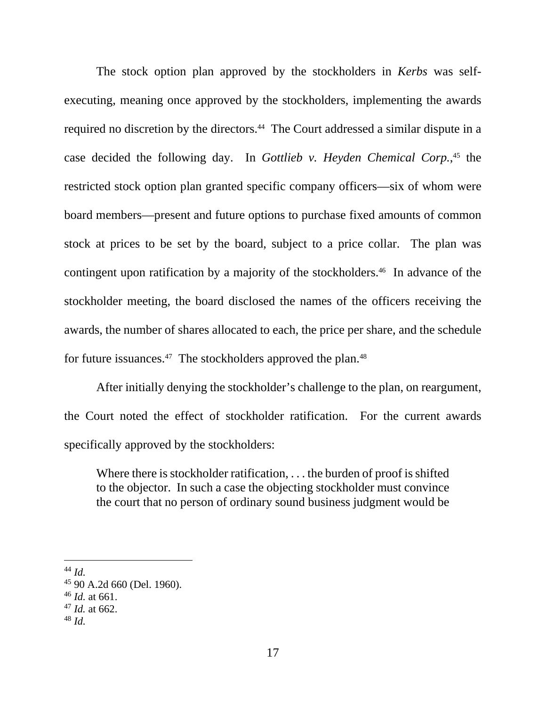The stock option plan approved by the stockholders in *Kerbs* was selfexecuting, meaning once approved by the stockholders, implementing the awards required no discretion by the directors.<sup>44</sup> The Court addressed a similar dispute in a case decided the following day. In *Gottlieb v. Heyden Chemical Corp.*,<sup>45</sup> the restricted stock option plan granted specific company officers—six of whom were board members—present and future options to purchase fixed amounts of common stock at prices to be set by the board, subject to a price collar. The plan was contingent upon ratification by a majority of the stockholders.<sup>46</sup> In advance of the stockholder meeting, the board disclosed the names of the officers receiving the awards, the number of shares allocated to each, the price per share, and the schedule for future issuances.<sup>47</sup> The stockholders approved the plan.<sup>48</sup>

After initially denying the stockholder's challenge to the plan, on reargument, the Court noted the effect of stockholder ratification. For the current awards specifically approved by the stockholders:

Where there is stockholder ratification, . . . the burden of proof is shifted to the objector. In such a case the objecting stockholder must convince the court that no person of ordinary sound business judgment would be

<sup>44</sup> *Id.*

<sup>45 90</sup> A.2d 660 (Del. 1960).

<sup>46</sup> *Id.* at 661.

<sup>47</sup> *Id.* at 662.

<sup>48</sup> *Id.*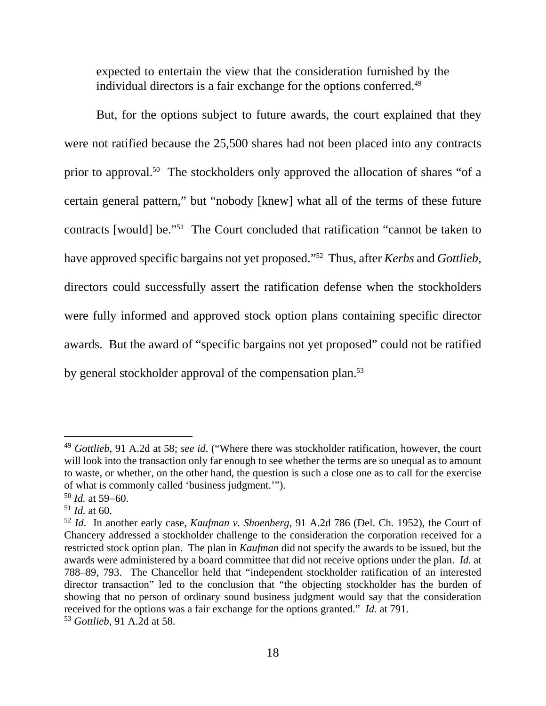expected to entertain the view that the consideration furnished by the individual directors is a fair exchange for the options conferred.<sup>49</sup>

But, for the options subject to future awards, the court explained that they were not ratified because the 25,500 shares had not been placed into any contracts prior to approval.<sup>50</sup> The stockholders only approved the allocation of shares "of a certain general pattern," but "nobody [knew] what all of the terms of these future contracts [would] be."51 The Court concluded that ratification "cannot be taken to have approved specific bargains not yet proposed."52 Thus, after *Kerbs* and *Gottlieb*, directors could successfully assert the ratification defense when the stockholders were fully informed and approved stock option plans containing specific director awards. But the award of "specific bargains not yet proposed" could not be ratified by general stockholder approval of the compensation plan.<sup>53</sup>

<sup>49</sup> *Gottlieb*, 91 A.2d at 58; *see id*. ("Where there was stockholder ratification, however, the court will look into the transaction only far enough to see whether the terms are so unequal as to amount to waste, or whether, on the other hand, the question is such a close one as to call for the exercise of what is commonly called 'business judgment.'").

 $50$  *Id.* at 59–60.

 $51$  *Id.* at 60.

<sup>52</sup> *Id*. In another early case, *Kaufman v. Shoenberg*, 91 A.2d 786 (Del. Ch. 1952), the Court of Chancery addressed a stockholder challenge to the consideration the corporation received for a restricted stock option plan. The plan in *Kaufman* did not specify the awards to be issued, but the awards were administered by a board committee that did not receive options under the plan. *Id.* at 788–89, 793. The Chancellor held that "independent stockholder ratification of an interested director transaction" led to the conclusion that "the objecting stockholder has the burden of showing that no person of ordinary sound business judgment would say that the consideration received for the options was a fair exchange for the options granted." *Id.* at 791.

<sup>53</sup> *Gottlieb*, 91 A.2d at 58.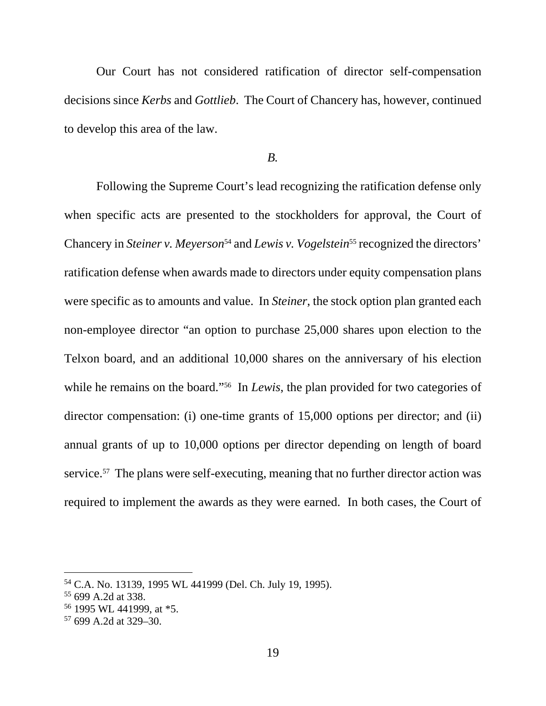Our Court has not considered ratification of director self-compensation decisions since *Kerbs* and *Gottlieb*. The Court of Chancery has, however, continued to develop this area of the law.

### *B.*

Following the Supreme Court's lead recognizing the ratification defense only when specific acts are presented to the stockholders for approval, the Court of Chancery in *Steiner v. Meyerson*<sup>54</sup> and *Lewis v. Vogelstein*<sup>55</sup> recognized the directors' ratification defense when awards made to directors under equity compensation plans were specific as to amounts and value. In *Steiner*, the stock option plan granted each non-employee director "an option to purchase 25,000 shares upon election to the Telxon board, and an additional 10,000 shares on the anniversary of his election while he remains on the board."<sup>56</sup> In *Lewis*, the plan provided for two categories of director compensation: (i) one-time grants of 15,000 options per director; and (ii) annual grants of up to 10,000 options per director depending on length of board service.<sup>57</sup> The plans were self-executing, meaning that no further director action was required to implement the awards as they were earned. In both cases, the Court of

<sup>54</sup> C.A. No. 13139, 1995 WL 441999 (Del. Ch. July 19, 1995).

<sup>55 699</sup> A.2d at 338.

<sup>56</sup> 1995 WL 441999, at \*5.

 $57$  699 A.2d at 329–30.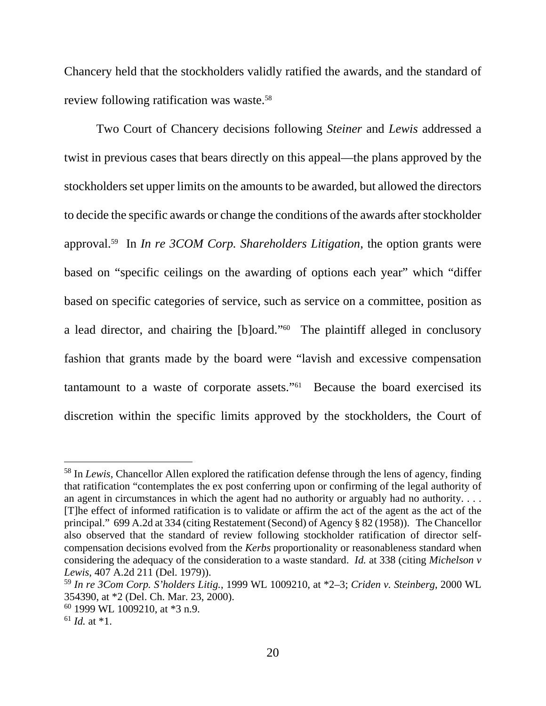Chancery held that the stockholders validly ratified the awards, and the standard of review following ratification was waste.58

Two Court of Chancery decisions following *Steiner* and *Lewis* addressed a twist in previous cases that bears directly on this appeal—the plans approved by the stockholders set upper limits on the amounts to be awarded, but allowed the directors to decide the specific awards or change the conditions of the awards after stockholder approval.59 In *In re 3COM Corp. Shareholders Litigation*, the option grants were based on "specific ceilings on the awarding of options each year" which "differ based on specific categories of service, such as service on a committee, position as a lead director, and chairing the [b]oard."60 The plaintiff alleged in conclusory fashion that grants made by the board were "lavish and excessive compensation tantamount to a waste of corporate assets."61 Because the board exercised its discretion within the specific limits approved by the stockholders, the Court of

<sup>58</sup> In *Lewis*, Chancellor Allen explored the ratification defense through the lens of agency, finding that ratification "contemplates the ex post conferring upon or confirming of the legal authority of an agent in circumstances in which the agent had no authority or arguably had no authority. . . . [T]he effect of informed ratification is to validate or affirm the act of the agent as the act of the principal." 699 A.2d at 334 (citing Restatement (Second) of Agency § 82 (1958)). The Chancellor also observed that the standard of review following stockholder ratification of director selfcompensation decisions evolved from the *Kerbs* proportionality or reasonableness standard when considering the adequacy of the consideration to a waste standard. *Id.* at 338 (citing *Michelson v Lewis*, 407 A.2d 211 (Del. 1979)).

<sup>59</sup> *In re 3Com Corp. S'holders Litig.*, 1999 WL 1009210, at \*2–3; *Criden v. Steinberg*, 2000 WL 354390, at \*2 (Del. Ch. Mar. 23, 2000).

<sup>60 1999</sup> WL 1009210, at \*3 n.9.

 $^{61}$  *Id.* at  $*1$ .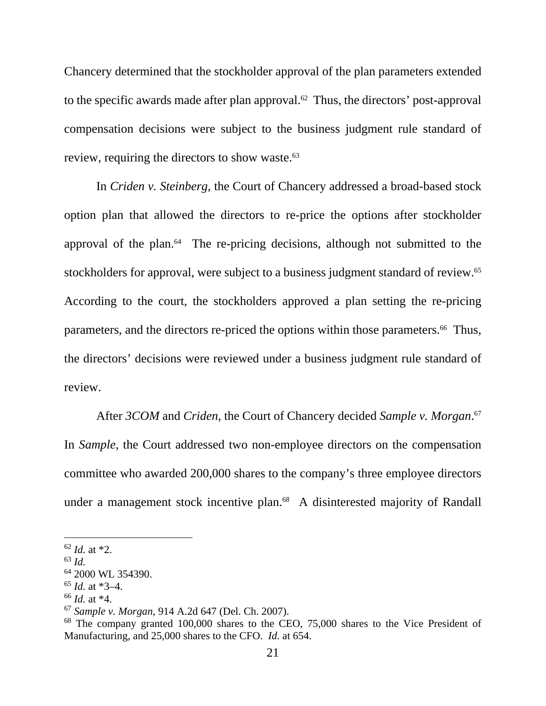Chancery determined that the stockholder approval of the plan parameters extended to the specific awards made after plan approval.<sup>62</sup> Thus, the directors' post-approval compensation decisions were subject to the business judgment rule standard of review, requiring the directors to show waste.<sup>63</sup>

In *Criden v. Steinberg*, the Court of Chancery addressed a broad-based stock option plan that allowed the directors to re-price the options after stockholder approval of the plan. $64$  The re-pricing decisions, although not submitted to the stockholders for approval, were subject to a business judgment standard of review.<sup>65</sup> According to the court, the stockholders approved a plan setting the re-pricing parameters, and the directors re-priced the options within those parameters.<sup>66</sup> Thus, the directors' decisions were reviewed under a business judgment rule standard of review.

After *3COM* and *Criden*, the Court of Chancery decided *Sample v. Morgan*. 67 In *Sample*, the Court addressed two non-employee directors on the compensation committee who awarded 200,000 shares to the company's three employee directors under a management stock incentive plan.<sup>68</sup> A disinterested majority of Randall

<sup>62</sup> *Id.* at \*2.

<sup>63</sup> *Id.*

<sup>&</sup>lt;sup>64</sup> 2000 WL 354390.

<sup>65</sup> *Id.* at \*3–4.

<sup>66</sup> *Id.* at \*4.

<sup>67</sup> *Sample v. Morgan*, 914 A.2d 647 (Del. Ch. 2007).

<sup>&</sup>lt;sup>68</sup> The company granted 100,000 shares to the CEO, 75,000 shares to the Vice President of Manufacturing, and 25,000 shares to the CFO. *Id.* at 654.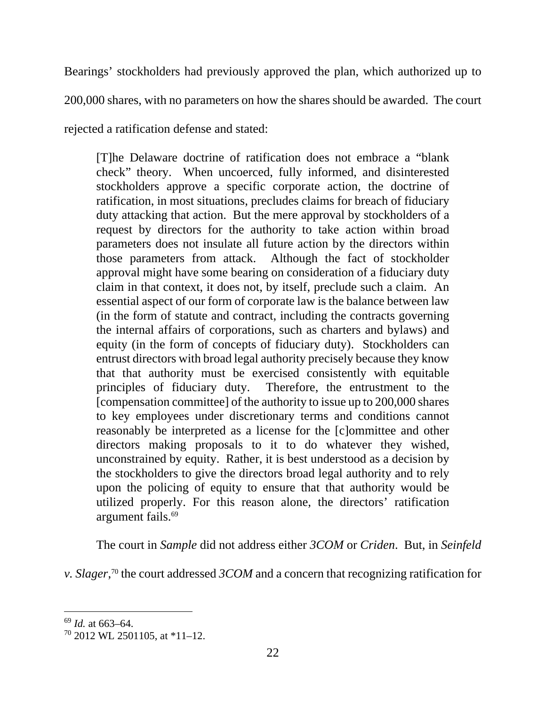Bearings' stockholders had previously approved the plan, which authorized up to 200,000 shares, with no parameters on how the shares should be awarded. The court rejected a ratification defense and stated:

[T]he Delaware doctrine of ratification does not embrace a "blank check" theory. When uncoerced, fully informed, and disinterested stockholders approve a specific corporate action, the doctrine of ratification, in most situations, precludes claims for breach of fiduciary duty attacking that action. But the mere approval by stockholders of a request by directors for the authority to take action within broad parameters does not insulate all future action by the directors within those parameters from attack. Although the fact of stockholder approval might have some bearing on consideration of a fiduciary duty claim in that context, it does not, by itself, preclude such a claim. An essential aspect of our form of corporate law is the balance between law (in the form of statute and contract, including the contracts governing the internal affairs of corporations, such as charters and bylaws) and equity (in the form of concepts of fiduciary duty). Stockholders can entrust directors with broad legal authority precisely because they know that that authority must be exercised consistently with equitable principles of fiduciary duty. Therefore, the entrustment to the [compensation committee] of the authority to issue up to 200,000 shares to key employees under discretionary terms and conditions cannot reasonably be interpreted as a license for the [c]ommittee and other directors making proposals to it to do whatever they wished, unconstrained by equity. Rather, it is best understood as a decision by the stockholders to give the directors broad legal authority and to rely upon the policing of equity to ensure that that authority would be utilized properly. For this reason alone, the directors' ratification argument fails.69

The court in *Sample* did not address either *3COM* or *Criden*. But, in *Seinfeld* 

*v. Slager*, 70 the court addressed *3COM* and a concern that recognizing ratification for

<sup>69</sup> *Id.* at 663–64.

 $70$  2012 WL 2501105, at  $*11-12$ .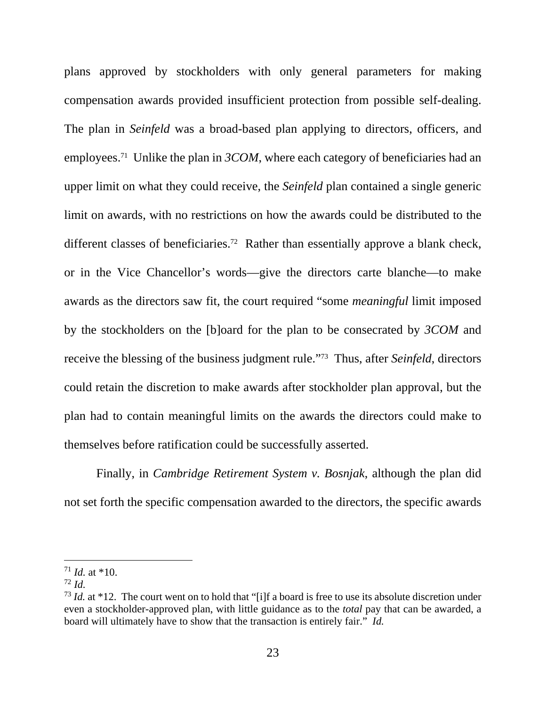plans approved by stockholders with only general parameters for making compensation awards provided insufficient protection from possible self-dealing. The plan in *Seinfeld* was a broad-based plan applying to directors, officers, and employees.<sup>71</sup> Unlike the plan in *3COM*, where each category of beneficiaries had an upper limit on what they could receive, the *Seinfeld* plan contained a single generic limit on awards, with no restrictions on how the awards could be distributed to the different classes of beneficiaries.<sup>72</sup> Rather than essentially approve a blank check, or in the Vice Chancellor's words—give the directors carte blanche—to make awards as the directors saw fit, the court required "some *meaningful* limit imposed by the stockholders on the [b]oard for the plan to be consecrated by *3COM* and receive the blessing of the business judgment rule."73 Thus, after *Seinfeld*, directors could retain the discretion to make awards after stockholder plan approval, but the plan had to contain meaningful limits on the awards the directors could make to themselves before ratification could be successfully asserted.

Finally, in *Cambridge Retirement System v. Bosnjak*, although the plan did not set forth the specific compensation awarded to the directors, the specific awards

 $71$  *Id.* at \*10.

<sup>72</sup> *Id.*

<sup>&</sup>lt;sup>73</sup> *Id.* at \*12. The court went on to hold that "[i]f a board is free to use its absolute discretion under even a stockholder-approved plan, with little guidance as to the *total* pay that can be awarded, a board will ultimately have to show that the transaction is entirely fair." *Id.*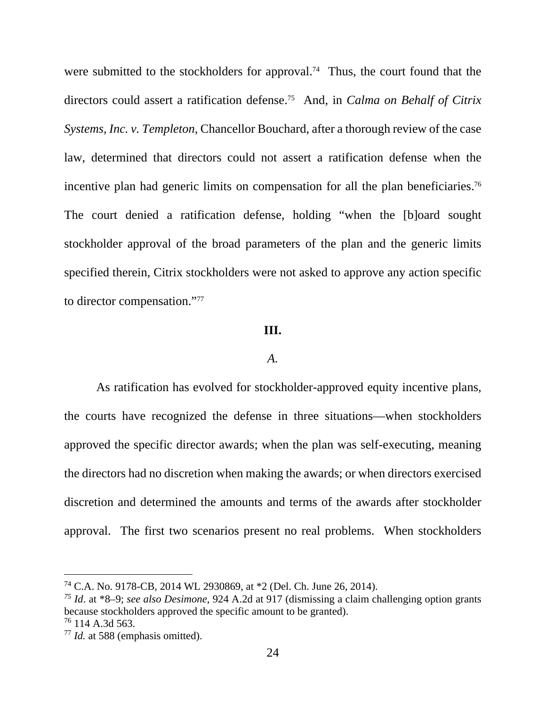were submitted to the stockholders for approval.<sup>74</sup> Thus, the court found that the directors could assert a ratification defense.75 And, in *Calma on Behalf of Citrix Systems, Inc. v. Templeton*, Chancellor Bouchard, after a thorough review of the case law, determined that directors could not assert a ratification defense when the incentive plan had generic limits on compensation for all the plan beneficiaries.<sup>76</sup> The court denied a ratification defense, holding "when the [b]oard sought stockholder approval of the broad parameters of the plan and the generic limits specified therein, Citrix stockholders were not asked to approve any action specific to director compensation."77

## **III.**

## *A.*

As ratification has evolved for stockholder-approved equity incentive plans, the courts have recognized the defense in three situations—when stockholders approved the specific director awards; when the plan was self-executing, meaning the directors had no discretion when making the awards; or when directors exercised discretion and determined the amounts and terms of the awards after stockholder approval. The first two scenarios present no real problems. When stockholders

<sup>74</sup> C.A. No. 9178-CB, 2014 WL 2930869, at \*2 (Del. Ch. June 26, 2014).

*<sup>75</sup> Id*. at \*8–9; *see also Desimone*, 924 A.2d at 917 (dismissing a claim challenging option grants because stockholders approved the specific amount to be granted).

 $76$  114 A.3d 563.

<sup>77</sup> *Id.* at 588 (emphasis omitted).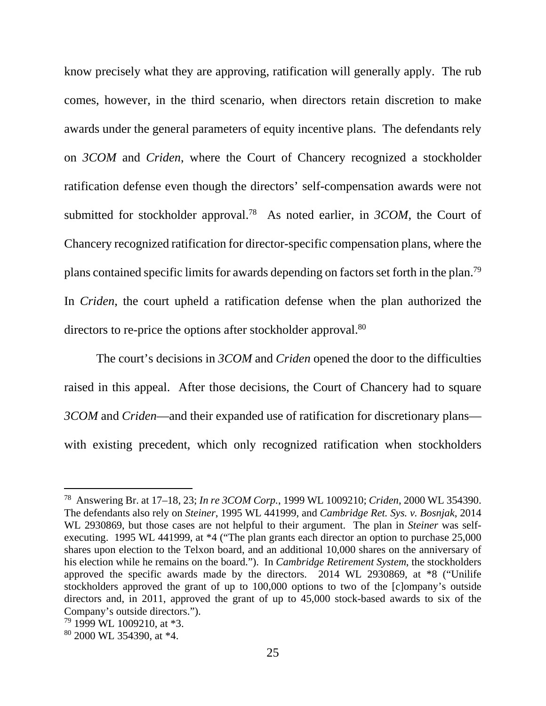know precisely what they are approving, ratification will generally apply. The rub comes, however, in the third scenario, when directors retain discretion to make awards under the general parameters of equity incentive plans. The defendants rely on *3COM* and *Criden*, where the Court of Chancery recognized a stockholder ratification defense even though the directors' self-compensation awards were not submitted for stockholder approval.78 As noted earlier, in *3COM*, the Court of Chancery recognized ratification for director-specific compensation plans, where the plans contained specific limits for awards depending on factors set forth in the plan.79 In *Criden*, the court upheld a ratification defense when the plan authorized the directors to re-price the options after stockholder approval.<sup>80</sup>

The court's decisions in *3COM* and *Criden* opened the door to the difficulties raised in this appeal. After those decisions, the Court of Chancery had to square *3COM* and *Criden*—and their expanded use of ratification for discretionary plans with existing precedent, which only recognized ratification when stockholders

<sup>78</sup> Answering Br. at 17–18, 23; *In re 3COM Corp.*, 1999 WL 1009210; *Criden*, 2000 WL 354390. The defendants also rely on *Steiner*, 1995 WL 441999, and *Cambridge Ret. Sys. v. Bosnjak*, 2014 WL 2930869, but those cases are not helpful to their argument. The plan in *Steiner* was selfexecuting. 1995 WL 441999, at \*4 ("The plan grants each director an option to purchase 25,000 shares upon election to the Telxon board, and an additional 10,000 shares on the anniversary of his election while he remains on the board."). In *Cambridge Retirement System*, the stockholders approved the specific awards made by the directors. 2014 WL 2930869, at \*8 ("Unilife stockholders approved the grant of up to 100,000 options to two of the [c]ompany's outside directors and, in 2011, approved the grant of up to 45,000 stock-based awards to six of the Company's outside directors.").

<sup>79 1999</sup> WL 1009210, at \*3.

<sup>80 2000</sup> WL 354390, at \*4.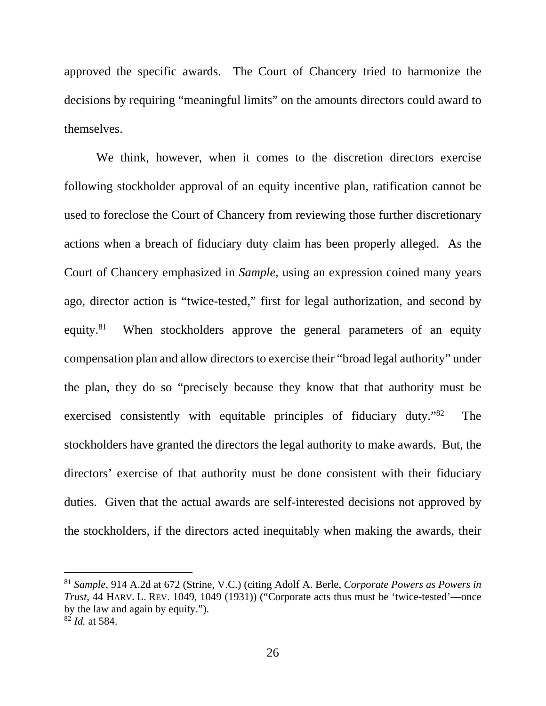approved the specific awards. The Court of Chancery tried to harmonize the decisions by requiring "meaningful limits" on the amounts directors could award to themselves.

We think, however, when it comes to the discretion directors exercise following stockholder approval of an equity incentive plan, ratification cannot be used to foreclose the Court of Chancery from reviewing those further discretionary actions when a breach of fiduciary duty claim has been properly alleged. As the Court of Chancery emphasized in *Sample*, using an expression coined many years ago, director action is "twice-tested," first for legal authorization, and second by equity.<sup>81</sup> When stockholders approve the general parameters of an equity compensation plan and allow directors to exercise their "broad legal authority" under the plan, they do so "precisely because they know that that authority must be exercised consistently with equitable principles of fiduciary duty."82 The stockholders have granted the directors the legal authority to make awards. But, the directors' exercise of that authority must be done consistent with their fiduciary duties. Given that the actual awards are self-interested decisions not approved by the stockholders, if the directors acted inequitably when making the awards, their

<sup>81</sup> *Sample*, 914 A.2d at 672 (Strine, V.C.) (citing Adolf A. Berle, *Corporate Powers as Powers in Trust*, 44 HARV. L. REV. 1049, 1049 (1931)) ("Corporate acts thus must be 'twice-tested'—once by the law and again by equity."). <sup>82</sup> *Id.* at 584.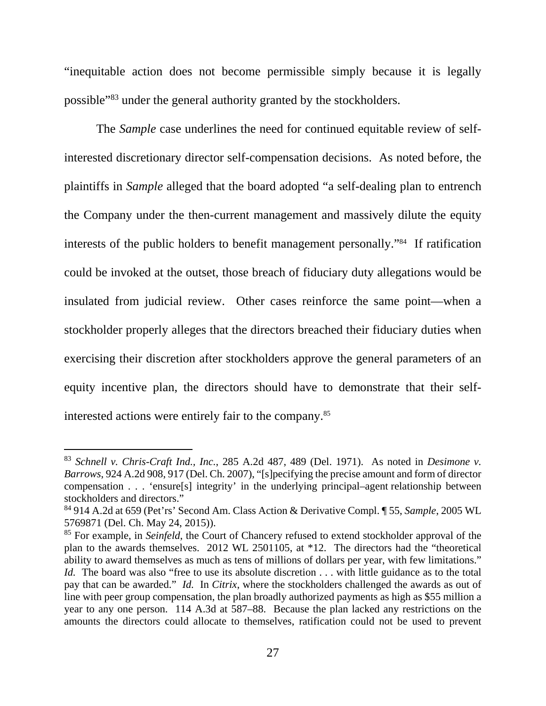"inequitable action does not become permissible simply because it is legally possible"83 under the general authority granted by the stockholders.

The *Sample* case underlines the need for continued equitable review of selfinterested discretionary director self-compensation decisions. As noted before, the plaintiffs in *Sample* alleged that the board adopted "a self-dealing plan to entrench the Company under the then-current management and massively dilute the equity interests of the public holders to benefit management personally."84 If ratification could be invoked at the outset, those breach of fiduciary duty allegations would be insulated from judicial review. Other cases reinforce the same point—when a stockholder properly alleges that the directors breached their fiduciary duties when exercising their discretion after stockholders approve the general parameters of an equity incentive plan, the directors should have to demonstrate that their selfinterested actions were entirely fair to the company.85

<sup>83</sup> *Schnell v. Chris-Craft Ind., Inc.*, 285 A.2d 487, 489 (Del. 1971). As noted in *Desimone v. Barrows*, 924 A.2d 908, 917 (Del. Ch. 2007), "[s]pecifying the precise amount and form of director compensation . . . 'ensure[s] integrity' in the underlying principal–agent relationship between stockholders and directors."

<sup>84 914</sup> A.2d at 659 (Pet'rs' Second Am. Class Action & Derivative Compl. ¶ 55, *Sample*, 2005 WL 5769871 (Del. Ch. May 24, 2015)).

<sup>&</sup>lt;sup>85</sup> For example, in *Seinfeld*, the Court of Chancery refused to extend stockholder approval of the plan to the awards themselves. 2012 WL 2501105, at \*12. The directors had the "theoretical ability to award themselves as much as tens of millions of dollars per year, with few limitations." *Id.* The board was also "free to use its absolute discretion . . . with little guidance as to the total pay that can be awarded." *Id.* In *Citrix*, where the stockholders challenged the awards as out of line with peer group compensation, the plan broadly authorized payments as high as \$55 million a year to any one person. 114 A.3d at 587–88. Because the plan lacked any restrictions on the amounts the directors could allocate to themselves, ratification could not be used to prevent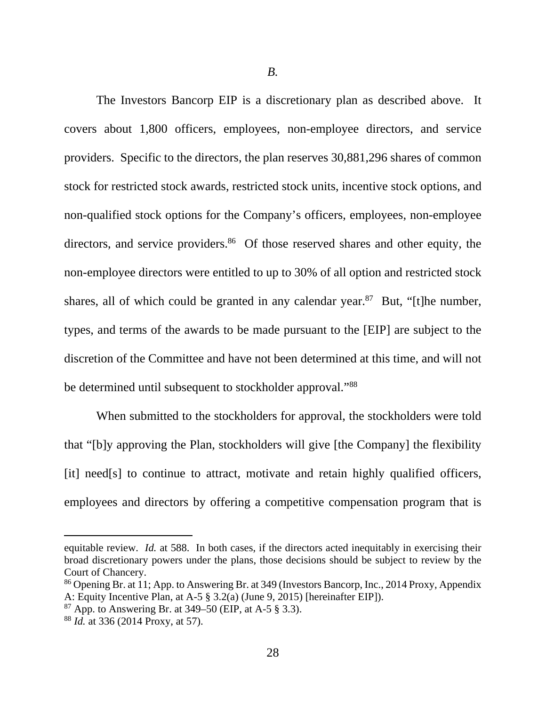*B.* 

The Investors Bancorp EIP is a discretionary plan as described above. It covers about 1,800 officers, employees, non-employee directors, and service providers. Specific to the directors, the plan reserves 30,881,296 shares of common stock for restricted stock awards, restricted stock units, incentive stock options, and non-qualified stock options for the Company's officers, employees, non-employee directors, and service providers.<sup>86</sup> Of those reserved shares and other equity, the non-employee directors were entitled to up to 30% of all option and restricted stock shares, all of which could be granted in any calendar year. $87$  But, "[t]he number, types, and terms of the awards to be made pursuant to the [EIP] are subject to the discretion of the Committee and have not been determined at this time, and will not be determined until subsequent to stockholder approval."<sup>88</sup>

When submitted to the stockholders for approval, the stockholders were told that "[b]y approving the Plan, stockholders will give [the Company] the flexibility [it] need[s] to continue to attract, motivate and retain highly qualified officers, employees and directors by offering a competitive compensation program that is

equitable review. *Id.* at 588. In both cases, if the directors acted inequitably in exercising their broad discretionary powers under the plans, those decisions should be subject to review by the Court of Chancery.

<sup>86</sup> Opening Br. at 11; App. to Answering Br. at 349 (Investors Bancorp, Inc., 2014 Proxy, Appendix A: Equity Incentive Plan, at A-5 § 3.2(a) (June 9, 2015) [hereinafter EIP]).

 $87$  App. to Answering Br. at 349–50 (EIP, at A-5  $\S$  3.3).

<sup>88</sup> *Id.* at 336 (2014 Proxy, at 57).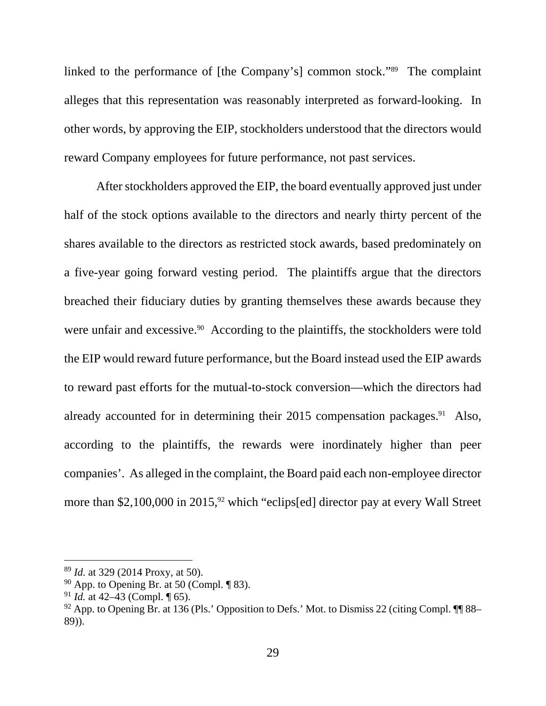linked to the performance of [the Company's] common stock."89 The complaint alleges that this representation was reasonably interpreted as forward-looking. In other words, by approving the EIP, stockholders understood that the directors would reward Company employees for future performance, not past services.

After stockholders approved the EIP, the board eventually approved just under half of the stock options available to the directors and nearly thirty percent of the shares available to the directors as restricted stock awards, based predominately on a five-year going forward vesting period. The plaintiffs argue that the directors breached their fiduciary duties by granting themselves these awards because they were unfair and excessive.<sup>90</sup> According to the plaintiffs, the stockholders were told the EIP would reward future performance, but the Board instead used the EIP awards to reward past efforts for the mutual-to-stock conversion—which the directors had already accounted for in determining their  $2015$  compensation packages.<sup>91</sup> Also, according to the plaintiffs, the rewards were inordinately higher than peer companies'. As alleged in the complaint, the Board paid each non-employee director more than \$2,100,000 in 2015, $92$  which "eclips[ed] director pay at every Wall Street

<sup>89</sup> *Id.* at 329 (2014 Proxy, at 50).

 $90$  App. to Opening Br. at 50 (Compl.  $\P$  83).

<sup>91</sup> *Id.* at 42–43 (Compl. ¶ 65).

 $92$  App. to Opening Br. at 136 (Pls.' Opposition to Defs.' Mot. to Dismiss 22 (citing Compl.  $\P$  88– 89)).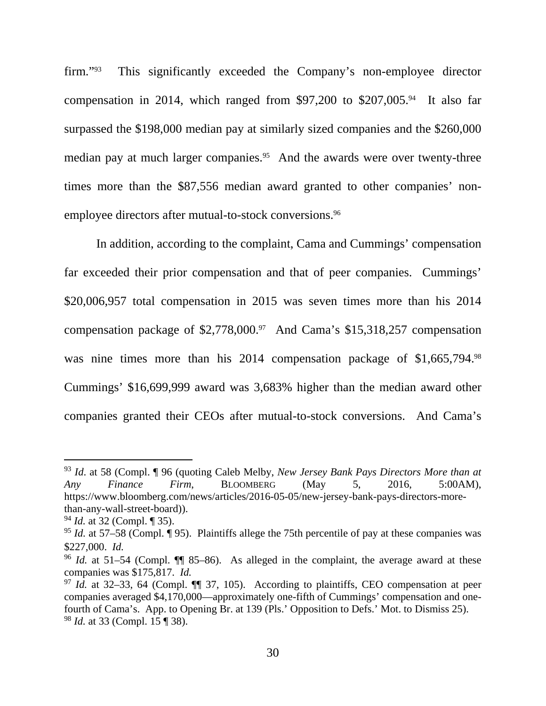firm."93 This significantly exceeded the Company's non-employee director compensation in 2014, which ranged from \$97,200 to \$207,005.<sup>94</sup> It also far surpassed the \$198,000 median pay at similarly sized companies and the \$260,000 median pay at much larger companies.<sup>95</sup> And the awards were over twenty-three times more than the \$87,556 median award granted to other companies' nonemployee directors after mutual-to-stock conversions.<sup>96</sup>

In addition, according to the complaint, Cama and Cummings' compensation far exceeded their prior compensation and that of peer companies. Cummings' \$20,006,957 total compensation in 2015 was seven times more than his 2014 compensation package of \$2,778,000.97 And Cama's \$15,318,257 compensation was nine times more than his 2014 compensation package of \$1,665,794.98 Cummings' \$16,699,999 award was 3,683% higher than the median award other companies granted their CEOs after mutual-to-stock conversions. And Cama's

<sup>93</sup> *Id*. at 58 (Compl. ¶ 96 (quoting Caleb Melby, *New Jersey Bank Pays Directors More than at Any Finance Firm*, BLOOMBERG (May 5, 2016, 5:00AM), https://www.bloomberg.com/news/articles/2016-05-05/new-jersey-bank-pays-directors-morethan-any-wall-street-board)).

<sup>94</sup> *Id.* at 32 (Compl. ¶ 35).

<sup>&</sup>lt;sup>95</sup> *Id.* at 57–58 (Compl. ¶ 95). Plaintiffs allege the 75th percentile of pay at these companies was \$227,000. *Id.* 

<sup>&</sup>lt;sup>96</sup> *Id.* at 51–54 (Compl.  $\P$  85–86). As alleged in the complaint, the average award at these companies was \$175,817. *Id.* <sup>97</sup> *Id.* at 32–33, 64 (Compl. ¶¶ 37, 105). According to plaintiffs, CEO compensation at peer

companies averaged \$4,170,000—approximately one-fifth of Cummings' compensation and onefourth of Cama's. App. to Opening Br. at 139 (Pls.' Opposition to Defs.' Mot. to Dismiss 25). <sup>98</sup> *Id.* at 33 (Compl. 15 ¶ 38).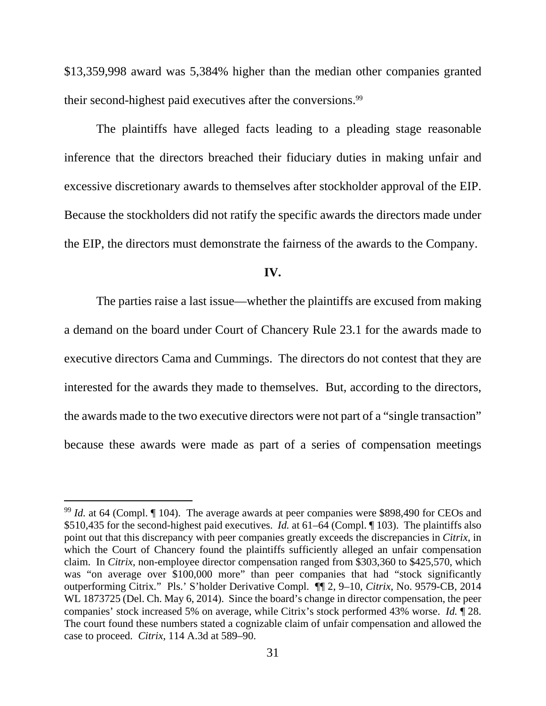\$13,359,998 award was 5,384% higher than the median other companies granted their second-highest paid executives after the conversions.<sup>99</sup>

The plaintiffs have alleged facts leading to a pleading stage reasonable inference that the directors breached their fiduciary duties in making unfair and excessive discretionary awards to themselves after stockholder approval of the EIP. Because the stockholders did not ratify the specific awards the directors made under the EIP, the directors must demonstrate the fairness of the awards to the Company.

#### **IV.**

 The parties raise a last issue—whether the plaintiffs are excused from making a demand on the board under Court of Chancery Rule 23.1 for the awards made to executive directors Cama and Cummings. The directors do not contest that they are interested for the awards they made to themselves. But, according to the directors, the awards made to the two executive directors were not part of a "single transaction" because these awards were made as part of a series of compensation meetings

 $99$  *Id.* at 64 (Compl.  $\P$  104). The average awards at peer companies were \$898,490 for CEOs and \$510,435 for the second-highest paid executives. *Id.* at 61–64 (Compl. ¶ 103). The plaintiffs also point out that this discrepancy with peer companies greatly exceeds the discrepancies in *Citrix*, in which the Court of Chancery found the plaintiffs sufficiently alleged an unfair compensation claim. In *Citrix*, non-employee director compensation ranged from \$303,360 to \$425,570, which was "on average over \$100,000 more" than peer companies that had "stock significantly outperforming Citrix*.*" Pls.' S'holder Derivative Compl. ¶¶ 2, 9–10, *Citrix*, No. 9579-CB, 2014 WL 1873725 (Del. Ch. May 6, 2014). Since the board's change in director compensation, the peer companies' stock increased 5% on average, while Citrix's stock performed 43% worse. *Id.* ¶ 28. The court found these numbers stated a cognizable claim of unfair compensation and allowed the case to proceed. *Citrix*, 114 A.3d at 589–90.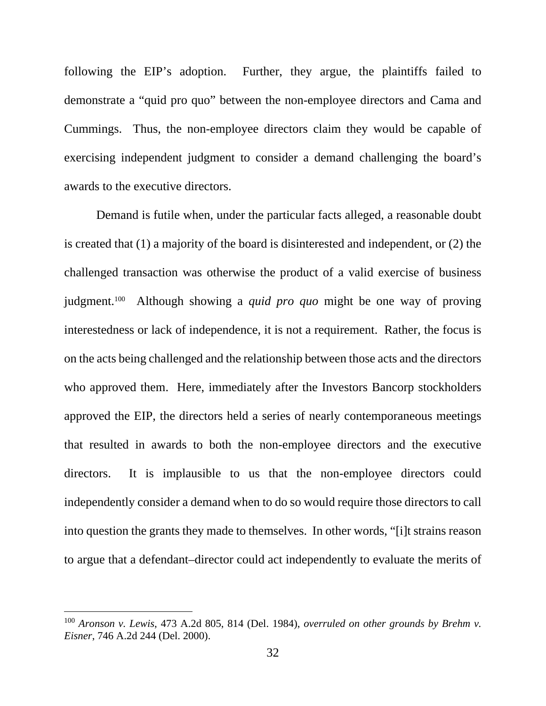following the EIP's adoption. Further, they argue, the plaintiffs failed to demonstrate a "quid pro quo" between the non-employee directors and Cama and Cummings. Thus, the non-employee directors claim they would be capable of exercising independent judgment to consider a demand challenging the board's awards to the executive directors.

 Demand is futile when, under the particular facts alleged, a reasonable doubt is created that (1) a majority of the board is disinterested and independent, or (2) the challenged transaction was otherwise the product of a valid exercise of business judgment.100 Although showing a *quid pro quo* might be one way of proving interestedness or lack of independence, it is not a requirement. Rather, the focus is on the acts being challenged and the relationship between those acts and the directors who approved them. Here, immediately after the Investors Bancorp stockholders approved the EIP, the directors held a series of nearly contemporaneous meetings that resulted in awards to both the non-employee directors and the executive directors. It is implausible to us that the non-employee directors could independently consider a demand when to do so would require those directors to call into question the grants they made to themselves. In other words, "[i]t strains reason to argue that a defendant–director could act independently to evaluate the merits of

l

<sup>100</sup> *Aronson v. Lewis*, 473 A.2d 805, 814 (Del. 1984), *overruled on other grounds by Brehm v. Eisner*, 746 A.2d 244 (Del. 2000).